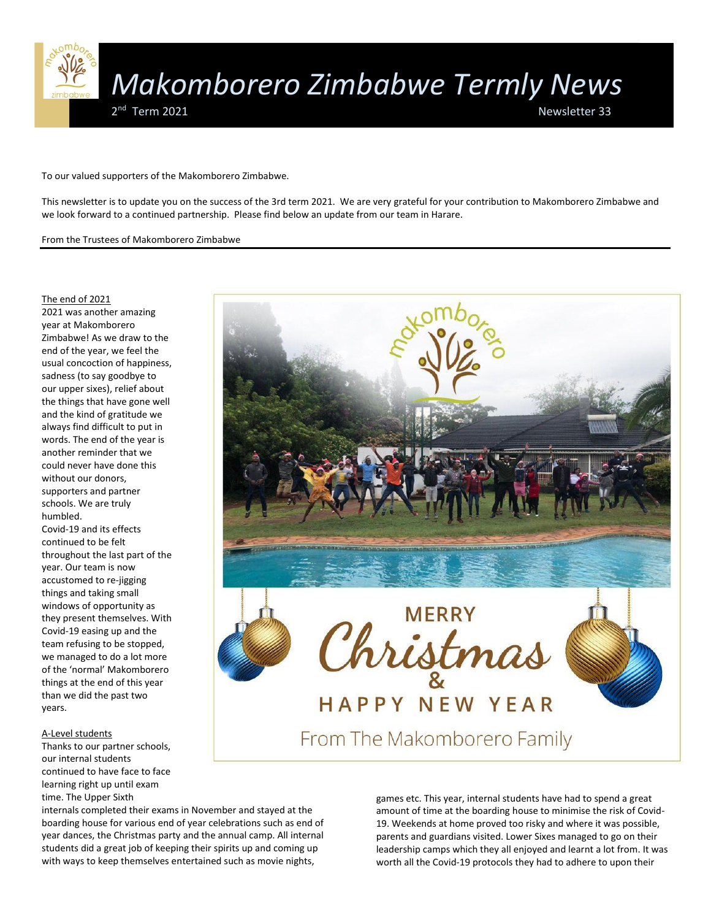

To our valued supporters of the Makomborero Zimbabwe.

This newsletter is to update you on the success of the 3rd term 2021. We are very grateful for your contribution to Makomborero Zimbabwe and we look forward to a continued partnership. Please find below an update from our team in Harare.

From the Trustees of Makomborero Zimbabwe

# The end of 2021

2021 was another amazing year at Makomborero Zimbabwe! As we draw to the end of the year, we feel the usual concoction of happiness, sadness (to say goodbye to our upper sixes), relief about the things that have gone well and the kind of gratitude we always find difficult to put in words. The end of the year is another reminder that we could never have done this without our donors, supporters and partner schools. We are truly humbled. Covid-19 and its effects

continued to be felt throughout the last part of the year. Our team is now accustomed to re-jigging things and taking small windows of opportunity as they present themselves. With Covid-19 easing up and the team refusing to be stopped, we managed to do a lot more of the 'normal' Makomborero things at the end of this year than we did the past two years.

# A-Level students

Thanks to our partner schools, our internal students continued to have face to face learning right up until exam time. The Upper Sixth

internals completed their exams in November and stayed at the boarding house for various end of year celebrations such as end of year dances, the Christmas party and the annual camp. All internal students did a great job of keeping their spirits up and coming up with ways to keep themselves entertained such as movie nights,



games etc. This year, internal students have had to spend a great amount of time at the boarding house to minimise the risk of Covid-19. Weekends at home proved too risky and where it was possible, parents and guardians visited. Lower Sixes managed to go on their leadership camps which they all enjoyed and learnt a lot from. It was worth all the Covid-19 protocols they had to adhere to upon their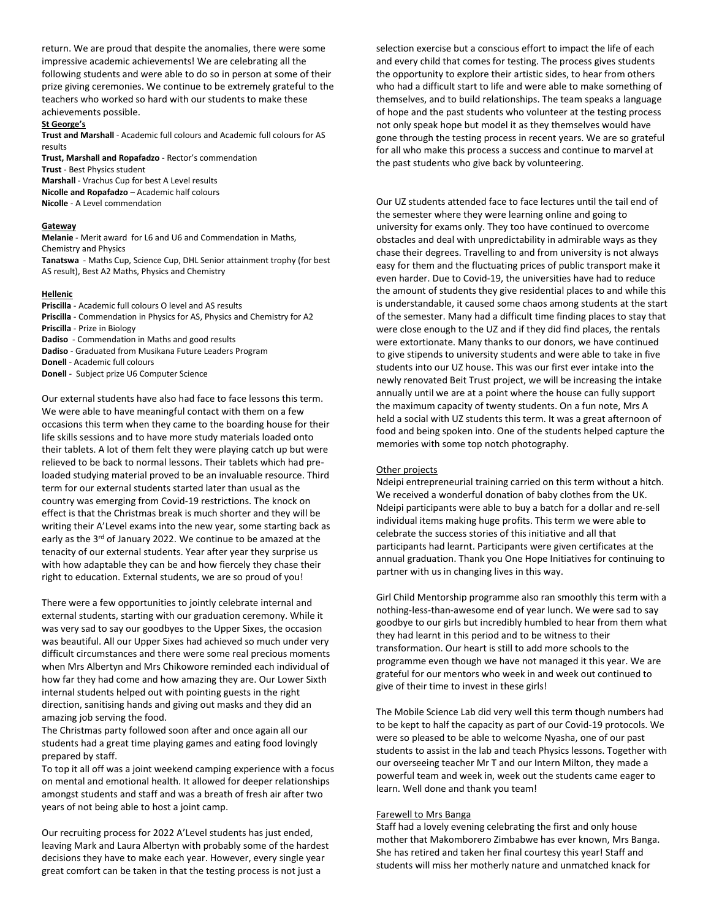return. We are proud that despite the anomalies, there were some impressive academic achievements! We are celebrating all the following students and were able to do so in person at some of their prize giving ceremonies. We continue to be extremely grateful to the teachers who worked so hard with our students to make these achievements possible.

## **St George's**

**Trust and Marshall** - Academic full colours and Academic full colours for AS results

**Trust, Marshall and Ropafadzo** - Rector's commendation **Trust** - Best Physics student **Marshall** - Vrachus Cup for best A Level results **Nicolle and Ropafadzo** – Academic half colours **Nicolle** - A Level commendation

### **Gateway**

**Melanie** - Merit award for L6 and U6 and Commendation in Maths, Chemistry and Physics

**Tanatswa** - Maths Cup, Science Cup, DHL Senior attainment trophy (for best AS result), Best A2 Maths, Physics and Chemistry

### **Hellenic**

- **Priscilla** Academic full colours O level and AS results
- **Priscilla** Commendation in Physics for AS, Physics and Chemistry for A2 **Priscilla** - Prize in Biology

- **Dadiso**  Commendation in Maths and good results
- **Dadiso** Graduated from Musikana Future Leaders Program

**Donell** - Academic full colours

**Donell** - Subject prize U6 Computer Science

Our external students have also had face to face lessons this term. We were able to have meaningful contact with them on a few occasions this term when they came to the boarding house for their life skills sessions and to have more study materials loaded onto their tablets. A lot of them felt they were playing catch up but were relieved to be back to normal lessons. Their tablets which had preloaded studying material proved to be an invaluable resource. Third term for our external students started later than usual as the country was emerging from Covid-19 restrictions. The knock on effect is that the Christmas break is much shorter and they will be writing their A'Level exams into the new year, some starting back as early as the 3<sup>rd</sup> of January 2022. We continue to be amazed at the tenacity of our external students. Year after year they surprise us with how adaptable they can be and how fiercely they chase their right to education. External students, we are so proud of you!

There were a few opportunities to jointly celebrate internal and external students, starting with our graduation ceremony. While it was very sad to say our goodbyes to the Upper Sixes, the occasion was beautiful. All our Upper Sixes had achieved so much under very difficult circumstances and there were some real precious moments when Mrs Albertyn and Mrs Chikowore reminded each individual of how far they had come and how amazing they are. Our Lower Sixth internal students helped out with pointing guests in the right direction, sanitising hands and giving out masks and they did an amazing job serving the food.

The Christmas party followed soon after and once again all our students had a great time playing games and eating food lovingly prepared by staff.

To top it all off was a joint weekend camping experience with a focus on mental and emotional health. It allowed for deeper relationships amongst students and staff and was a breath of fresh air after two years of not being able to host a joint camp.

Our recruiting process for 2022 A'Level students has just ended, leaving Mark and Laura Albertyn with probably some of the hardest decisions they have to make each year. However, every single year great comfort can be taken in that the testing process is not just a

selection exercise but a conscious effort to impact the life of each and every child that comes for testing. The process gives students the opportunity to explore their artistic sides, to hear from others who had a difficult start to life and were able to make something of themselves, and to build relationships. The team speaks a language of hope and the past students who volunteer at the testing process not only speak hope but model it as they themselves would have gone through the testing process in recent years. We are so grateful for all who make this process a success and continue to marvel at the past students who give back by volunteering.

Our UZ students attended face to face lectures until the tail end of the semester where they were learning online and going to university for exams only. They too have continued to overcome obstacles and deal with unpredictability in admirable ways as they chase their degrees. Travelling to and from university is not always easy for them and the fluctuating prices of public transport make it even harder. Due to Covid-19, the universities have had to reduce the amount of students they give residential places to and while this is understandable, it caused some chaos among students at the start of the semester. Many had a difficult time finding places to stay that were close enough to the UZ and if they did find places, the rentals were extortionate. Many thanks to our donors, we have continued to give stipends to university students and were able to take in five students into our UZ house. This was our first ever intake into the newly renovated Beit Trust project, we will be increasing the intake annually until we are at a point where the house can fully support the maximum capacity of twenty students. On a fun note, Mrs A held a social with UZ students this term. It was a great afternoon of food and being spoken into. One of the students helped capture the memories with some top notch photography.

### Other projects

Ndeipi entrepreneurial training carried on this term without a hitch. We received a wonderful donation of baby clothes from the UK. Ndeipi participants were able to buy a batch for a dollar and re-sell individual items making huge profits. This term we were able to celebrate the success stories of this initiative and all that participants had learnt. Participants were given certificates at the annual graduation. Thank you One Hope Initiatives for continuing to partner with us in changing lives in this way.

Girl Child Mentorship programme also ran smoothly this term with a nothing-less-than-awesome end of year lunch. We were sad to say goodbye to our girls but incredibly humbled to hear from them what they had learnt in this period and to be witness to their transformation. Our heart is still to add more schools to the programme even though we have not managed it this year. We are grateful for our mentors who week in and week out continued to give of their time to invest in these girls!

The Mobile Science Lab did very well this term though numbers had to be kept to half the capacity as part of our Covid-19 protocols. We were so pleased to be able to welcome Nyasha, one of our past students to assist in the lab and teach Physics lessons. Together with our overseeing teacher Mr T and our Intern Milton, they made a powerful team and week in, week out the students came eager to learn. Well done and thank you team!

### Farewell to Mrs Banga

Staff had a lovely evening celebrating the first and only house mother that Makomborero Zimbabwe has ever known, Mrs Banga. She has retired and taken her final courtesy this year! Staff and students will miss her motherly nature and unmatched knack for